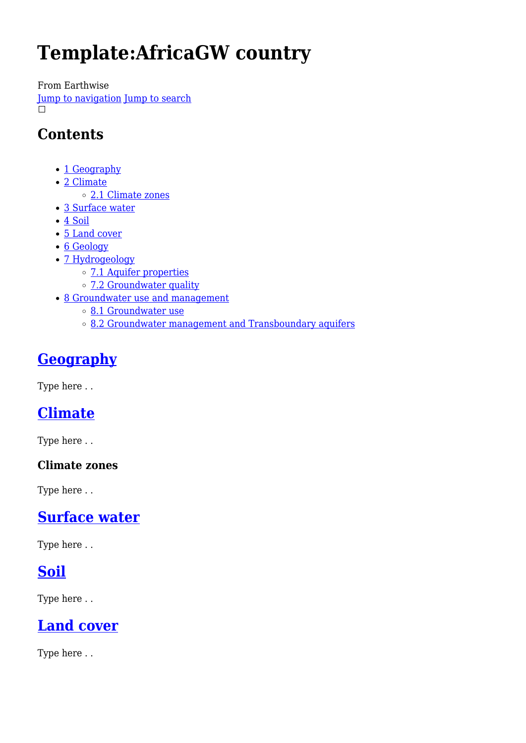# **Template:AfricaGW country**

From Earthwise

[Jump to navigation](#page--1-0) [Jump to search](#page--1-0)  $\Box$ 

### **Contents**

- [1](#page--1-0) [Geography](#page--1-0)
- [2](#page--1-0) [Climate](#page--1-0)
	- [2.1](#page--1-0) [Climate zones](#page--1-0)
- [3](#page--1-0) [Surface water](#page--1-0)
- [4](#page--1-0) [Soil](#page--1-0)
- [5](#page--1-0) [Land cover](#page--1-0)
- [6](#page--1-0) [Geology](#page--1-0)
- [7](#page--1-0) [Hydrogeology](#page--1-0)
	- [7.1](#page--1-0) [Aquifer properties](#page--1-0)
	- [7.2](#page--1-0) [Groundwater quality](#page--1-0)
- [8](#page--1-0) [Groundwater use and management](#page--1-0)
	- [8.1](#page--1-0) [Groundwater use](#page--1-0)
	- o [8.2](#page--1-0) [Groundwater management and Transboundary aquifers](#page--1-0)

## **[Geography](http://earthwise.bgs.ac.uk/index.php/Geography)**

Type here . .

### **[Climate](http://earthwise.bgs.ac.uk/index.php/Climate)**

Type here . .

### **Climate zones**

Type here . .

### **[Surface water](http://earthwise.bgs.ac.uk/index.php/Surface_water)**

Type here . .

### **[Soil](http://earthwise.bgs.ac.uk/index.php/Soil)**

Type here . .

### **[Land cover](http://earthwise.bgs.ac.uk/index.php/Land_cover)**

Type here . .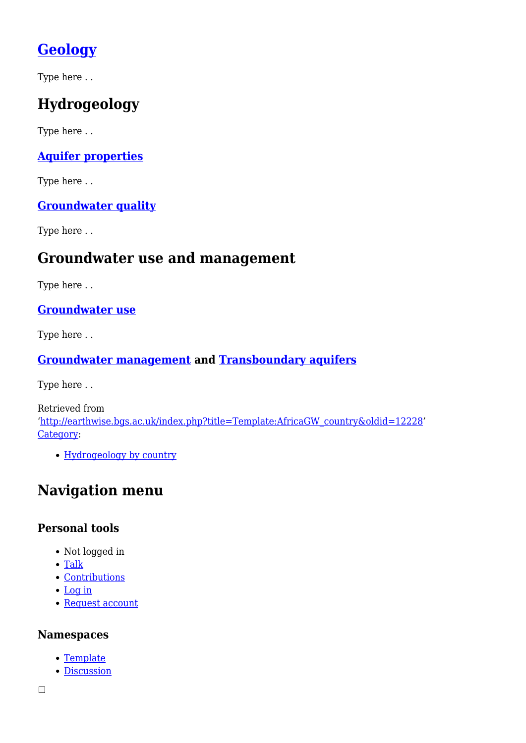## **[Geology](http://earthwise.bgs.ac.uk/index.php/Geology)**

Type here . .

## **Hydrogeology**

Type here . .

### **[Aquifer properties](http://earthwise.bgs.ac.uk/index.php/Aquifer_properties)**

Type here . .

### **[Groundwater quality](http://earthwise.bgs.ac.uk/index.php/Groundwater_quality_issues)**

Type here . .

### **Groundwater use and management**

Type here . .

**[Groundwater use](http://earthwise.bgs.ac.uk/index.php/Groundwater_use)**

Type here . .

### **[Groundwater management](http://earthwise.bgs.ac.uk/index.php/Groundwater_management) and [Transboundary aquifers](http://earthwise.bgs.ac.uk/index.php/Transboundary_aquifers)**

Type here . .

Retrieved from '[http://earthwise.bgs.ac.uk/index.php?title=Template:AfricaGW\\_country&oldid=12228'](http://earthwise.bgs.ac.uk/index.php?title=Template:AfricaGW_country&oldid=12228) [Category](http://earthwise.bgs.ac.uk/index.php/Special:Categories):

• [Hydrogeology by country](http://earthwise.bgs.ac.uk/index.php/Category:Hydrogeology_by_country)

### **Navigation menu**

### **Personal tools**

- Not logged in
- [Talk](http://earthwise.bgs.ac.uk/index.php/Special:MyTalk)
- [Contributions](http://earthwise.bgs.ac.uk/index.php/Special:MyContributions)
- [Log in](http://earthwise.bgs.ac.uk/index.php?title=Special:UserLogin&returnto=Template%3AAfricaGW+country&returntoquery=action%3Dmpdf)
- [Request account](http://earthwise.bgs.ac.uk/index.php/Special:RequestAccount)

#### **Namespaces**

- [Template](http://earthwise.bgs.ac.uk/index.php/Template:AfricaGW_country)
- [Discussion](http://earthwise.bgs.ac.uk/index.php?title=Template_talk:AfricaGW_country&action=edit&redlink=1)